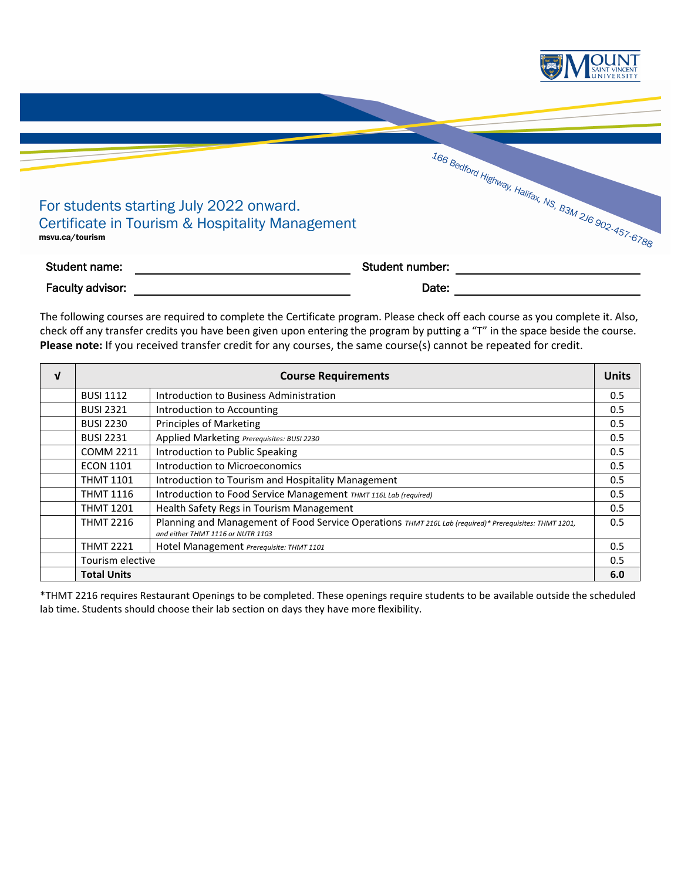

The following courses are required to complete the Certificate program. Please check off each course as you complete it. Also, check off any transfer credits you have been given upon entering the program by putting a "T" in the space beside the course. **Please note:** If you received transfer credit for any courses, the same course(s) cannot be repeated for credit.

| $\mathbf{v}$ | <b>Units</b><br><b>Course Requirements</b> |                                                                                                                                             |     |
|--------------|--------------------------------------------|---------------------------------------------------------------------------------------------------------------------------------------------|-----|
|              | <b>BUSI 1112</b>                           | Introduction to Business Administration                                                                                                     | 0.5 |
|              | <b>BUSI 2321</b>                           | Introduction to Accounting                                                                                                                  | 0.5 |
|              | <b>BUSI 2230</b>                           | <b>Principles of Marketing</b>                                                                                                              | 0.5 |
|              | <b>BUSI 2231</b>                           | Applied Marketing Prerequisites: BUSI 2230                                                                                                  | 0.5 |
|              | <b>COMM 2211</b>                           | Introduction to Public Speaking                                                                                                             | 0.5 |
|              | <b>ECON 1101</b>                           | Introduction to Microeconomics                                                                                                              | 0.5 |
|              | <b>THMT 1101</b>                           | Introduction to Tourism and Hospitality Management                                                                                          | 0.5 |
|              | <b>THMT 1116</b>                           | Introduction to Food Service Management THMT 116L Lab (required)                                                                            | 0.5 |
|              | <b>THMT 1201</b>                           | Health Safety Regs in Tourism Management                                                                                                    | 0.5 |
|              | <b>THMT 2216</b>                           | Planning and Management of Food Service Operations THMT 216L Lab (required)* Prerequisites: THMT 1201,<br>and either THMT 1116 or NUTR 1103 | 0.5 |
|              | <b>THMT 2221</b>                           | Hotel Management Prerequisite: THMT 1101                                                                                                    | 0.5 |
|              | Tourism elective                           |                                                                                                                                             | 0.5 |
|              | 6.0<br><b>Total Units</b>                  |                                                                                                                                             |     |

\*THMT 2216 requires Restaurant Openings to be completed. These openings require students to be available outside the scheduled lab time. Students should choose their lab section on days they have more flexibility.